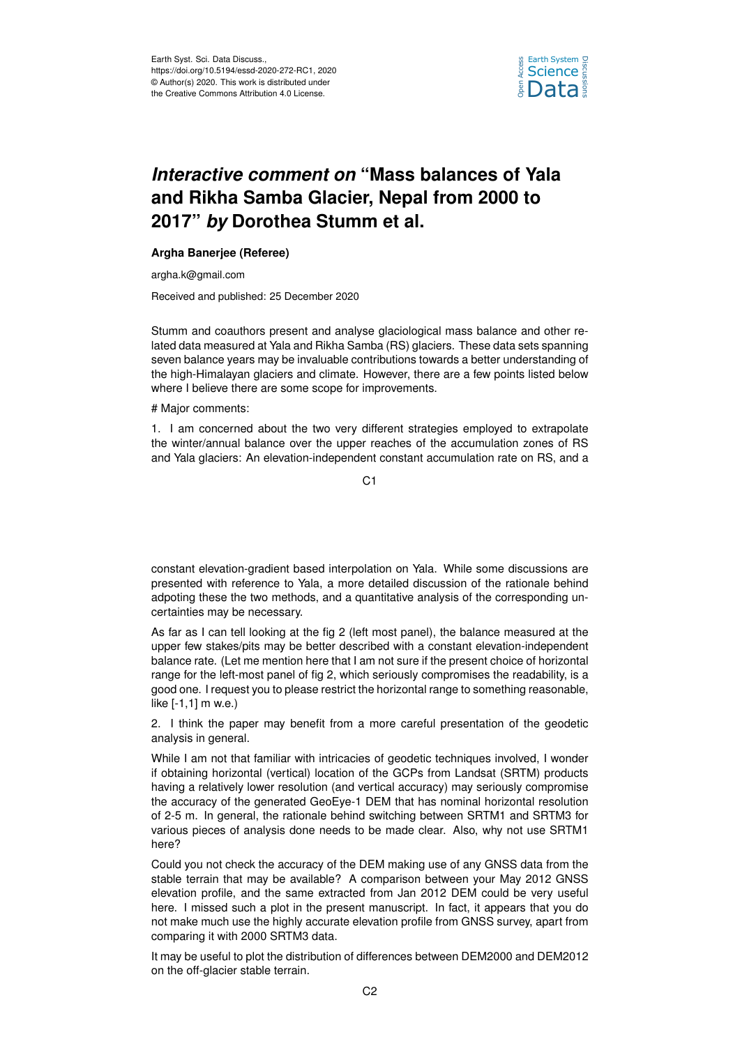

## *Interactive comment on* **"Mass balances of Yala and Rikha Samba Glacier, Nepal from 2000 to 2017"** *by* **Dorothea Stumm et al.**

## **Argha Banerjee (Referee)**

argha.k@gmail.com

Received and published: 25 December 2020

Stumm and coauthors present and analyse glaciological mass balance and other related data measured at Yala and Rikha Samba (RS) glaciers. These data sets spanning seven balance years may be invaluable contributions towards a better understanding of the high-Himalayan glaciers and climate. However, there are a few points listed below where I believe there are some scope for improvements.

# Major comments:

1. I am concerned about the two very different strategies employed to extrapolate the winter/annual balance over the upper reaches of the accumulation zones of RS and Yala glaciers: An elevation-independent constant accumulation rate on RS, and a

 $C<sub>1</sub>$ 

constant elevation-gradient based interpolation on Yala. While some discussions are presented with reference to Yala, a more detailed discussion of the rationale behind adpoting these the two methods, and a quantitative analysis of the corresponding uncertainties may be necessary.

As far as I can tell looking at the fig 2 (left most panel), the balance measured at the upper few stakes/pits may be better described with a constant elevation-independent balance rate. (Let me mention here that I am not sure if the present choice of horizontal range for the left-most panel of fig 2, which seriously compromises the readability, is a good one. I request you to please restrict the horizontal range to something reasonable, like [-1,1] m w.e.)

2. I think the paper may benefit from a more careful presentation of the geodetic analysis in general.

While I am not that familiar with intricacies of geodetic techniques involved, I wonder if obtaining horizontal (vertical) location of the GCPs from Landsat (SRTM) products having a relatively lower resolution (and vertical accuracy) may seriously compromise the accuracy of the generated GeoEye-1 DEM that has nominal horizontal resolution of 2-5 m. In general, the rationale behind switching between SRTM1 and SRTM3 for various pieces of analysis done needs to be made clear. Also, why not use SRTM1 here?

Could you not check the accuracy of the DEM making use of any GNSS data from the stable terrain that may be available? A comparison between your May 2012 GNSS elevation profile, and the same extracted from Jan 2012 DEM could be very useful here. I missed such a plot in the present manuscript. In fact, it appears that you do not make much use the highly accurate elevation profile from GNSS survey, apart from comparing it with 2000 SRTM3 data.

It may be useful to plot the distribution of differences between DEM2000 and DEM2012 on the off-glacier stable terrain.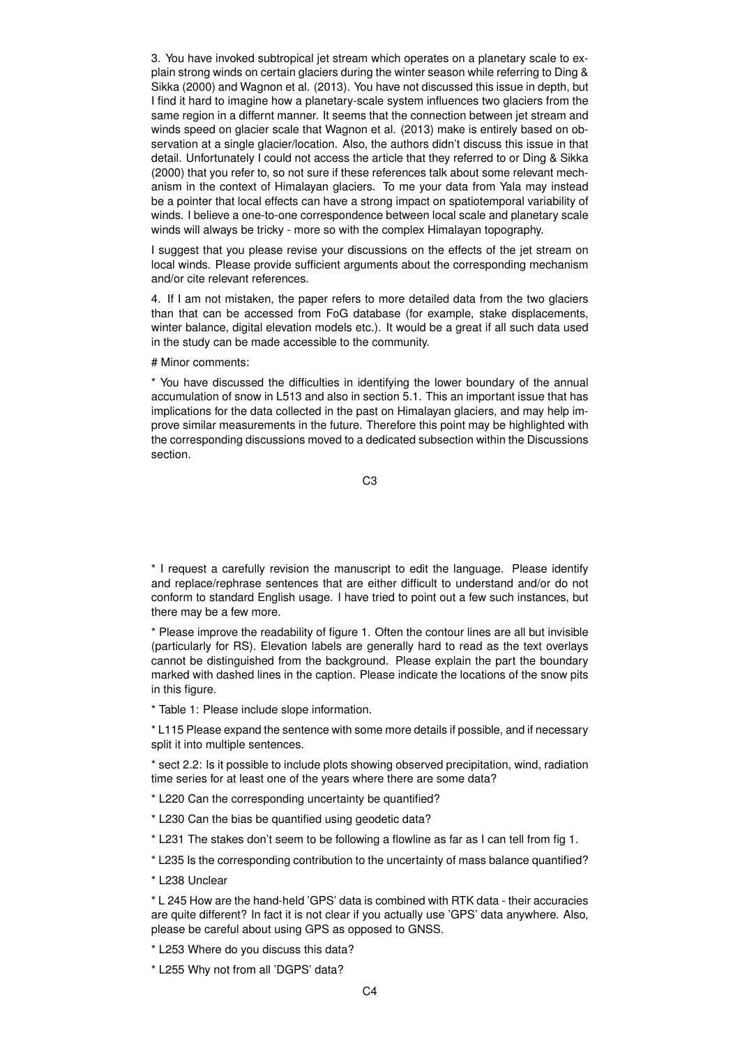3. You have invoked subtropical jet stream which operates on a planetary scale to explain strong winds on certain glaciers during the winter season while referring to Ding & Sikka (2000) and Wagnon et al. (2013). You have not discussed this issue in depth, but I find it hard to imagine how a planetary-scale system influences two glaciers from the same region in a differnt manner. It seems that the connection between jet stream and winds speed on glacier scale that Wagnon et al. (2013) make is entirely based on observation at a single glacier/location. Also, the authors didn't discuss this issue in that detail. Unfortunately I could not access the article that they referred to or Ding & Sikka (2000) that you refer to, so not sure if these references talk about some relevant mechanism in the context of Himalayan glaciers. To me your data from Yala may instead be a pointer that local effects can have a strong impact on spatiotemporal variability of winds. I believe a one-to-one correspondence between local scale and planetary scale winds will always be tricky - more so with the complex Himalayan topography.

I suggest that you please revise your discussions on the effects of the jet stream on local winds. Please provide sufficient arguments about the corresponding mechanism and/or cite relevant references.

4. If I am not mistaken, the paper refers to more detailed data from the two glaciers than that can be accessed from FoG database (for example, stake displacements, winter balance, digital elevation models etc.). It would be a great if all such data used in the study can be made accessible to the community.

# Minor comments:

\* You have discussed the difficulties in identifying the lower boundary of the annual accumulation of snow in L513 and also in section 5.1. This an important issue that has implications for the data collected in the past on Himalayan glaciers, and may help improve similar measurements in the future. Therefore this point may be highlighted with the corresponding discussions moved to a dedicated subsection within the Discussions section.

C3

\* I request a carefully revision the manuscript to edit the language. Please identify and replace/rephrase sentences that are either difficult to understand and/or do not conform to standard English usage. I have tried to point out a few such instances, but there may be a few more.

\* Please improve the readability of figure 1. Often the contour lines are all but invisible (particularly for RS). Elevation labels are generally hard to read as the text overlays cannot be distinguished from the background. Please explain the part the boundary marked with dashed lines in the caption. Please indicate the locations of the snow pits in this figure.

\* Table 1: Please include slope information.

\* L115 Please expand the sentence with some more details if possible, and if necessary split it into multiple sentences.

\* sect 2.2: Is it possible to include plots showing observed precipitation, wind, radiation time series for at least one of the years where there are some data?

- \* L220 Can the corresponding uncertainty be quantified?
- \* L230 Can the bias be quantified using geodetic data?
- \* L231 The stakes don't seem to be following a flowline as far as I can tell from fig 1.
- \* L235 Is the corresponding contribution to the uncertainty of mass balance quantified?
- \* L238 Unclear

\* L 245 How are the hand-held 'GPS' data is combined with RTK data - their accuracies are quite different? In fact it is not clear if you actually use 'GPS' data anywhere. Also, please be careful about using GPS as opposed to GNSS.

\* L253 Where do you discuss this data?

\* L255 Why not from all 'DGPS' data?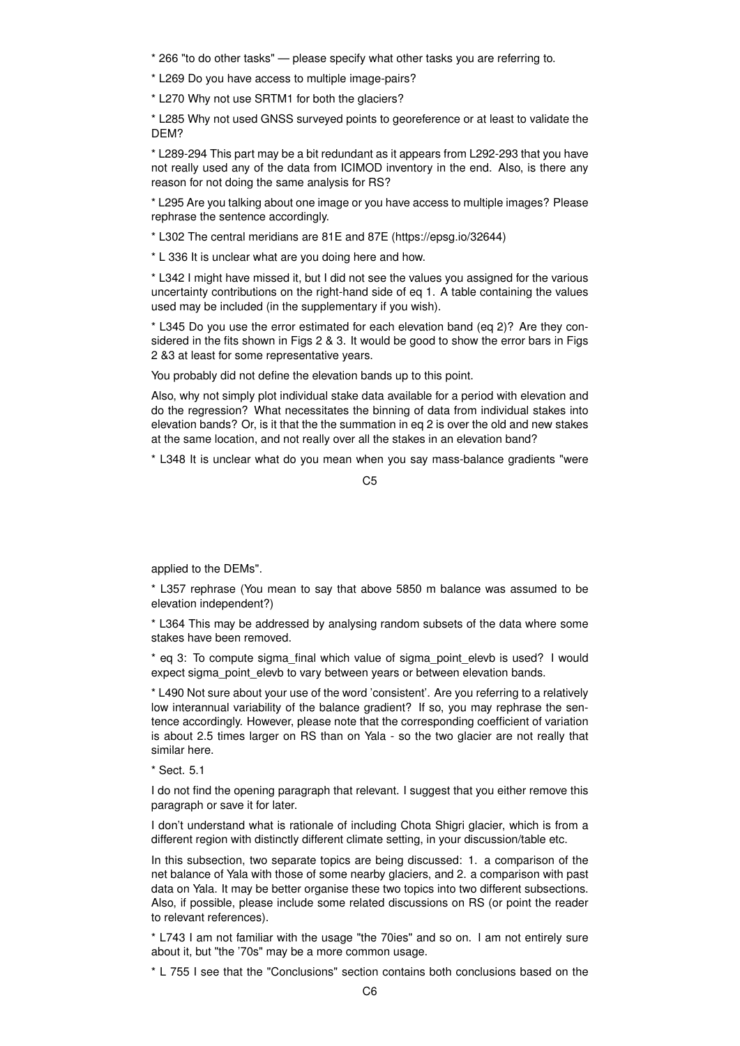\* 266 "to do other tasks" — please specify what other tasks you are referring to.

\* L269 Do you have access to multiple image-pairs?

\* L270 Why not use SRTM1 for both the glaciers?

\* L285 Why not used GNSS surveyed points to georeference or at least to validate the DEM?

\* L289-294 This part may be a bit redundant as it appears from L292-293 that you have not really used any of the data from ICIMOD inventory in the end. Also, is there any reason for not doing the same analysis for RS?

\* L295 Are you talking about one image or you have access to multiple images? Please rephrase the sentence accordingly.

\* L302 The central meridians are 81E and 87E (https://epsg.io/32644)

\* L 336 It is unclear what are you doing here and how.

\* L342 I might have missed it, but I did not see the values you assigned for the various uncertainty contributions on the right-hand side of eq 1. A table containing the values used may be included (in the supplementary if you wish).

\* L345 Do you use the error estimated for each elevation band (eq 2)? Are they considered in the fits shown in Figs 2 & 3. It would be good to show the error bars in Figs 2 &3 at least for some representative years.

You probably did not define the elevation bands up to this point.

Also, why not simply plot individual stake data available for a period with elevation and do the regression? What necessitates the binning of data from individual stakes into elevation bands? Or, is it that the the summation in eq 2 is over the old and new stakes at the same location, and not really over all the stakes in an elevation band?

\* L348 It is unclear what do you mean when you say mass-balance gradients "were

 $C<sub>5</sub>$ 

applied to the DEMs".

\* L357 rephrase (You mean to say that above 5850 m balance was assumed to be elevation independent?)

\* L364 This may be addressed by analysing random subsets of the data where some stakes have been removed.

\* eq 3: To compute sigma\_final which value of sigma\_point\_elevb is used? I would expect sigma\_point\_elevb to vary between years or between elevation bands.

\* L490 Not sure about your use of the word 'consistent'. Are you referring to a relatively low interannual variability of the balance gradient? If so, you may rephrase the sentence accordingly. However, please note that the corresponding coefficient of variation is about 2.5 times larger on RS than on Yala - so the two glacier are not really that similar here.

\* Sect. 5.1

I do not find the opening paragraph that relevant. I suggest that you either remove this paragraph or save it for later.

I don't understand what is rationale of including Chota Shigri glacier, which is from a different region with distinctly different climate setting, in your discussion/table etc.

In this subsection, two separate topics are being discussed: 1. a comparison of the net balance of Yala with those of some nearby glaciers, and 2. a comparison with past data on Yala. It may be better organise these two topics into two different subsections. Also, if possible, please include some related discussions on RS (or point the reader to relevant references).

\* L743 I am not familiar with the usage "the 70ies" and so on. I am not entirely sure about it, but "the '70s" may be a more common usage.

\* L 755 I see that the "Conclusions" section contains both conclusions based on the